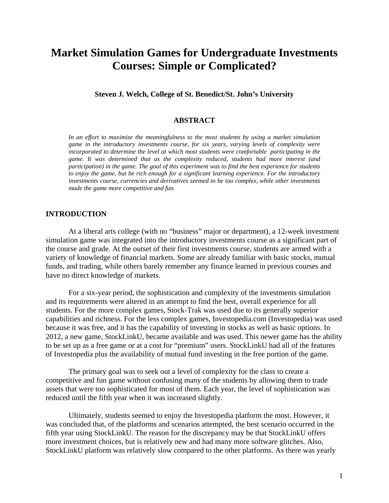# **Market Simulation Games for Undergraduate Investments Courses: Simple or Complicated?**

**Steven J. Welch, College of St. Benedict/St. John's University** 

#### **ABSTRACT**

In an effort to maximize the meaningfulness to the most students by using a market simulation *game in the introductory investments course, for six years, varying levels of complexity were incorporated to determine the level at which most students were comfortable participating in the game. It was determined that as the complexity reduced, students had more interest (and participation) in the game. The goal of this experiment was to find the best experience for students to enjoy the game, but be rich enough for a significant learning experience. For the introductory investments course, currencies and derivatives seemed to be too complex, while other investments made the game more competitive and fun.* 

## **INTRODUCTION**

At a liberal arts college (with no "business" major or department), a 12-week investment simulation game was integrated into the introductory investments course as a significant part of the course and grade. At the outset of their first investments course, students are armed with a variety of knowledge of financial markets. Some are already familiar with basic stocks, mutual funds, and trading, while others barely remember any finance learned in previous courses and have no direct knowledge of markets.

For a six-year period, the sophistication and complexity of the investments simulation and its requirements were altered in an attempt to find the best, overall experience for all students. For the more complex games, Stock-Trak was used due to its generally superior capabilities and richness. For the less complex games, Investopedia.com (Investopedia) was used because it was free, and it has the capability of investing in stocks as well as basic options. In 2012, a new game, StockLinkU, became available and was used. This newer game has the ability to be set up as a free game or at a cost for "premium" users. StockLinkU had all of the features of Investopedia plus the availability of mutual fund investing in the free portion of the game.

The primary goal was to seek out a level of complexity for the class to create a competitive and fun game without confusing many of the students by allowing them to trade assets that were too sophisticated for most of them. Each year, the level of sophistication was reduced until the fifth year when it was increased slightly.

Ultimately, students seemed to enjoy the Investopedia platform the most. However, it was concluded that, of the platforms and scenarios attempted, the best scenario occurred in the fifth year using StockLinkU. The reason for the discrepancy may be that StockLinkU offers more investment choices, but is relatively new and had many more software glitches. Also, StockLinkU platform was relatively slow compared to the other platforms. As there was yearly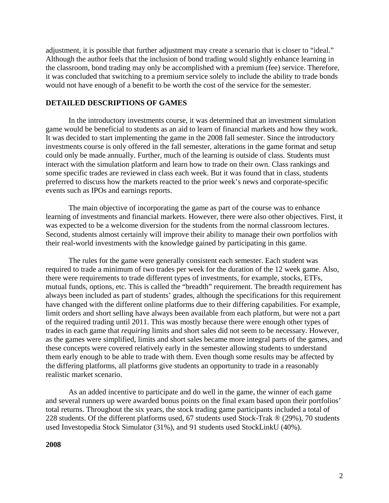adjustment, it is possible that further adjustment may create a scenario that is closer to "ideal." Although the author feels that the inclusion of bond trading would slightly enhance learning in the classroom, bond trading may only be accomplished with a premium (fee) service. Therefore, it was concluded that switching to a premium service solely to include the ability to trade bonds would not have enough of a benefit to be worth the cost of the service for the semester.

## **DETAILED DESCRIPTIONS OF GAMES**

In the introductory investments course, it was determined that an investment simulation game would be beneficial to students as an aid to learn of financial markets and how they work. It was decided to start implementing the game in the 2008 fall semester. Since the introductory investments course is only offered in the fall semester, alterations in the game format and setup could only be made annually. Further, much of the learning is outside of class. Students must interact with the simulation platform and learn how to trade on their own. Class rankings and some specific trades are reviewed in class each week. But it was found that in class, students preferred to discuss how the markets reacted to the prior week's news and corporate-specific events such as IPOs and earnings reports.

The main objective of incorporating the game as part of the course was to enhance learning of investments and financial markets. However, there were also other objectives. First, it was expected to be a welcome diversion for the students from the normal classroom lectures. Second, students almost certainly will improve their ability to manage their own portfolios with their real-world investments with the knowledge gained by participating in this game.

The rules for the game were generally consistent each semester. Each student was required to trade a minimum of two trades per week for the duration of the 12 week game. Also, there were requirements to trade different types of investments, for example, stocks, ETFs, mutual funds, options, etc. This is called the "breadth" requirement. The breadth requirement has always been included as part of students' grades, although the specifications for this requirement have changed with the different online platforms due to their differing capabilities. For example, limit orders and short selling have always been available from each platform, but were not a part of the required trading until 2011. This was mostly because there were enough other types of trades in each game that *requiring* limits and short sales did not seem to be necessary. However, as the games were simplified, limits and short sales became more integral parts of the games, and these concepts were covered relatively early in the semester allowing students to understand them early enough to be able to trade with them. Even though some results may be affected by the differing platforms, all platforms give students an opportunity to trade in a reasonably realistic market scenario.

As an added incentive to participate and do well in the game, the winner of each game and several runners up were awarded bonus points on the final exam based upon their portfolios' total returns. Throughout the six years, the stock trading game participants included a total of 228 students. Of the different platforms used, 67 students used Stock-Trak ® (29%), 70 students used Investopedia Stock Simulator (31%), and 91 students used StockLinkU (40%).

#### **2008**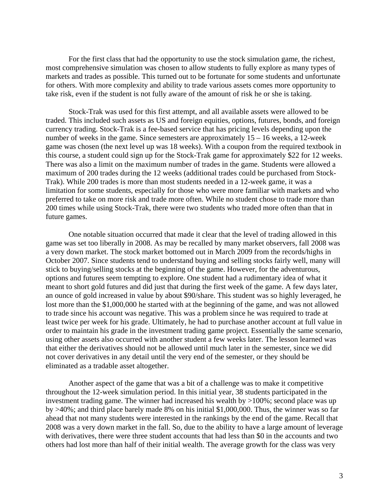For the first class that had the opportunity to use the stock simulation game, the richest, most comprehensive simulation was chosen to allow students to fully explore as many types of markets and trades as possible. This turned out to be fortunate for some students and unfortunate for others. With more complexity and ability to trade various assets comes more opportunity to take risk, even if the student is not fully aware of the amount of risk he or she is taking.

Stock-Trak was used for this first attempt, and all available assets were allowed to be traded. This included such assets as US and foreign equities, options, futures, bonds, and foreign currency trading. Stock-Trak is a fee-based service that has pricing levels depending upon the number of weeks in the game. Since semesters are approximately 15 – 16 weeks, a 12-week game was chosen (the next level up was 18 weeks). With a coupon from the required textbook in this course, a student could sign up for the Stock-Trak game for approximately \$22 for 12 weeks. There was also a limit on the maximum number of trades in the game. Students were allowed a maximum of 200 trades during the 12 weeks (additional trades could be purchased from Stock-Trak). While 200 trades is more than most students needed in a 12-week game, it was a limitation for some students, especially for those who were more familiar with markets and who preferred to take on more risk and trade more often. While no student chose to trade more than 200 times while using Stock-Trak, there were two students who traded more often than that in future games.

One notable situation occurred that made it clear that the level of trading allowed in this game was set too liberally in 2008. As may be recalled by many market observers, fall 2008 was a very down market. The stock market bottomed out in March 2009 from the records/highs in October 2007. Since students tend to understand buying and selling stocks fairly well, many will stick to buying/selling stocks at the beginning of the game. However, for the adventurous, options and futures seem tempting to explore. One student had a rudimentary idea of what it meant to short gold futures and did just that during the first week of the game. A few days later, an ounce of gold increased in value by about \$90/share. This student was so highly leveraged, he lost more than the \$1,000,000 he started with at the beginning of the game, and was not allowed to trade since his account was negative. This was a problem since he was required to trade at least twice per week for his grade. Ultimately, he had to purchase another account at full value in order to maintain his grade in the investment trading game project. Essentially the same scenario, using other assets also occurred with another student a few weeks later. The lesson learned was that either the derivatives should not be allowed until much later in the semester, since we did not cover derivatives in any detail until the very end of the semester, or they should be eliminated as a tradable asset altogether.

Another aspect of the game that was a bit of a challenge was to make it competitive throughout the 12-week simulation period. In this initial year, 38 students participated in the investment trading game. The winner had increased his wealth by >100%; second place was up by >40%; and third place barely made 8% on his initial \$1,000,000. Thus, the winner was so far ahead that not many students were interested in the rankings by the end of the game. Recall that 2008 was a very down market in the fall. So, due to the ability to have a large amount of leverage with derivatives, there were three student accounts that had less than \$0 in the accounts and two others had lost more than half of their initial wealth. The average growth for the class was very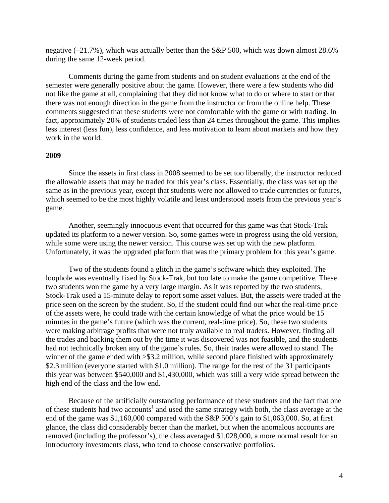negative (–21.7%), which was actually better than the S&P 500, which was down almost 28.6% during the same 12-week period.

Comments during the game from students and on student evaluations at the end of the semester were generally positive about the game. However, there were a few students who did not like the game at all, complaining that they did not know what to do or where to start or that there was not enough direction in the game from the instructor or from the online help. These comments suggested that these students were not comfortable with the game or with trading. In fact, approximately 20% of students traded less than 24 times throughout the game. This implies less interest (less fun), less confidence, and less motivation to learn about markets and how they work in the world.

#### **2009**

Since the assets in first class in 2008 seemed to be set too liberally, the instructor reduced the allowable assets that may be traded for this year's class. Essentially, the class was set up the same as in the previous year, except that students were not allowed to trade currencies or futures, which seemed to be the most highly volatile and least understood assets from the previous year's game.

Another, seemingly innocuous event that occurred for this game was that Stock-Trak updated its platform to a newer version. So, some games were in progress using the old version, while some were using the newer version. This course was set up with the new platform. Unfortunately, it was the upgraded platform that was the primary problem for this year's game.

Two of the students found a glitch in the game's software which they exploited. The loophole was eventually fixed by Stock-Trak, but too late to make the game competitive. These two students won the game by a very large margin. As it was reported by the two students, Stock-Trak used a 15-minute delay to report some asset values. But, the assets were traded at the price seen on the screen by the student. So, if the student could find out what the real-time price of the assets were, he could trade with the certain knowledge of what the price would be 15 minutes in the game's future (which was the current, real-time price). So, these two students were making arbitrage profits that were not truly available to real traders. However, finding all the trades and backing them out by the time it was discovered was not feasible, and the students had not technically broken any of the game's rules. So, their trades were allowed to stand. The winner of the game ended with  $>$ \$3.2 million, while second place finished with approximately \$2.3 million (everyone started with \$1.0 million). The range for the rest of the 31 participants this year was between \$540,000 and \$1,430,000, which was still a very wide spread between the high end of the class and the low end.

Because of the artificially outstanding performance of these students and the fact that one of these students had two accounts<sup>1</sup> and used the same strategy with both, the class average at the end of the game was \$1,160,000 compared with the S&P 500's gain to \$1,063,000. So, at first glance, the class did considerably better than the market, but when the anomalous accounts are removed (including the professor's), the class averaged \$1,028,000, a more normal result for an introductory investments class, who tend to choose conservative portfolios.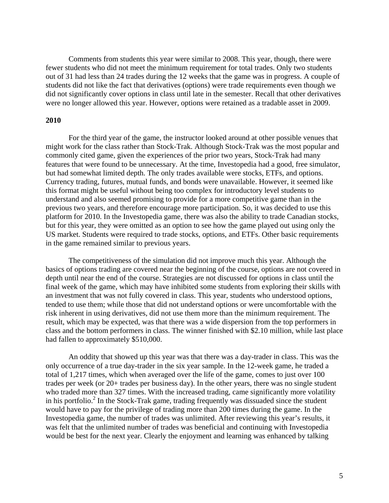Comments from students this year were similar to 2008. This year, though, there were fewer students who did not meet the minimum requirement for total trades. Only two students out of 31 had less than 24 trades during the 12 weeks that the game was in progress. A couple of students did not like the fact that derivatives (options) were trade requirements even though we did not significantly cover options in class until late in the semester. Recall that other derivatives were no longer allowed this year. However, options were retained as a tradable asset in 2009.

#### **2010**

For the third year of the game, the instructor looked around at other possible venues that might work for the class rather than Stock-Trak. Although Stock-Trak was the most popular and commonly cited game, given the experiences of the prior two years, Stock-Trak had many features that were found to be unnecessary. At the time, Investopedia had a good, free simulator, but had somewhat limited depth. The only trades available were stocks, ETFs, and options. Currency trading, futures, mutual funds, and bonds were unavailable. However, it seemed like this format might be useful without being too complex for introductory level students to understand and also seemed promising to provide for a more competitive game than in the previous two years, and therefore encourage more participation. So, it was decided to use this platform for 2010. In the Investopedia game, there was also the ability to trade Canadian stocks, but for this year, they were omitted as an option to see how the game played out using only the US market. Students were required to trade stocks, options, and ETFs. Other basic requirements in the game remained similar to previous years.

The competitiveness of the simulation did not improve much this year. Although the basics of options trading are covered near the beginning of the course, options are not covered in depth until near the end of the course. Strategies are not discussed for options in class until the final week of the game, which may have inhibited some students from exploring their skills with an investment that was not fully covered in class. This year, students who understood options, tended to use them; while those that did not understand options or were uncomfortable with the risk inherent in using derivatives, did not use them more than the minimum requirement. The result, which may be expected, was that there was a wide dispersion from the top performers in class and the bottom performers in class. The winner finished with \$2.10 million, while last place had fallen to approximately \$510,000.

An oddity that showed up this year was that there was a day-trader in class. This was the only occurrence of a true day-trader in the six year sample. In the 12-week game, he traded a total of 1,217 times, which when averaged over the life of the game, comes to just over 100 trades per week (or 20+ trades per business day). In the other years, there was no single student who traded more than 327 times. With the increased trading, came significantly more volatility in his portfolio.<sup>2</sup> In the Stock-Trak game, trading frequently was dissuaded since the student would have to pay for the privilege of trading more than 200 times during the game. In the Investopedia game, the number of trades was unlimited. After reviewing this year's results, it was felt that the unlimited number of trades was beneficial and continuing with Investopedia would be best for the next year. Clearly the enjoyment and learning was enhanced by talking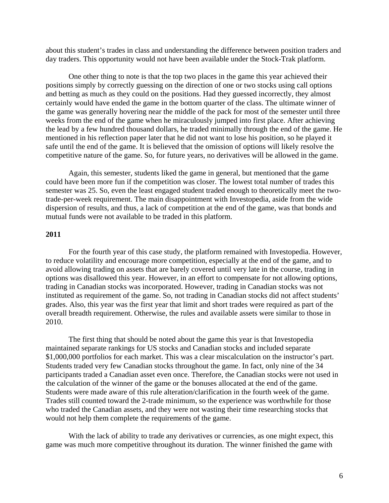about this student's trades in class and understanding the difference between position traders and day traders. This opportunity would not have been available under the Stock-Trak platform.

One other thing to note is that the top two places in the game this year achieved their positions simply by correctly guessing on the direction of one or two stocks using call options and betting as much as they could on the positions. Had they guessed incorrectly, they almost certainly would have ended the game in the bottom quarter of the class. The ultimate winner of the game was generally hovering near the middle of the pack for most of the semester until three weeks from the end of the game when he miraculously jumped into first place. After achieving the lead by a few hundred thousand dollars, he traded minimally through the end of the game. He mentioned in his reflection paper later that he did not want to lose his position, so he played it safe until the end of the game. It is believed that the omission of options will likely resolve the competitive nature of the game. So, for future years, no derivatives will be allowed in the game.

Again, this semester, students liked the game in general, but mentioned that the game could have been more fun if the competition was closer. The lowest total number of trades this semester was 25. So, even the least engaged student traded enough to theoretically meet the twotrade-per-week requirement. The main disappointment with Investopedia, aside from the wide dispersion of results, and thus, a lack of competition at the end of the game, was that bonds and mutual funds were not available to be traded in this platform.

## **2011**

For the fourth year of this case study, the platform remained with Investopedia. However, to reduce volatility and encourage more competition, especially at the end of the game, and to avoid allowing trading on assets that are barely covered until very late in the course, trading in options was disallowed this year. However, in an effort to compensate for not allowing options, trading in Canadian stocks was incorporated. However, trading in Canadian stocks was not instituted as requirement of the game. So, not trading in Canadian stocks did not affect students' grades. Also, this year was the first year that limit and short trades were required as part of the overall breadth requirement. Otherwise, the rules and available assets were similar to those in 2010.

The first thing that should be noted about the game this year is that Investopedia maintained separate rankings for US stocks and Canadian stocks and included separate \$1,000,000 portfolios for each market. This was a clear miscalculation on the instructor's part. Students traded very few Canadian stocks throughout the game. In fact, only nine of the 34 participants traded a Canadian asset even once. Therefore, the Canadian stocks were not used in the calculation of the winner of the game or the bonuses allocated at the end of the game. Students were made aware of this rule alteration/clarification in the fourth week of the game. Trades still counted toward the 2-trade minimum, so the experience was worthwhile for those who traded the Canadian assets, and they were not wasting their time researching stocks that would not help them complete the requirements of the game.

With the lack of ability to trade any derivatives or currencies, as one might expect, this game was much more competitive throughout its duration. The winner finished the game with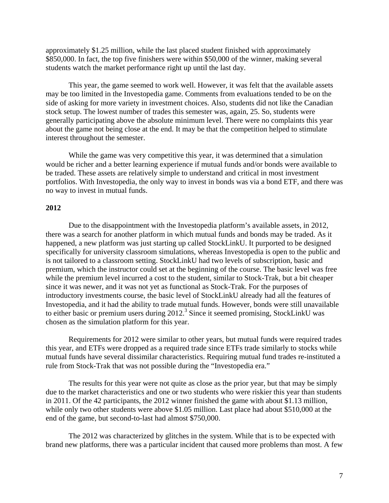approximately \$1.25 million, while the last placed student finished with approximately \$850,000. In fact, the top five finishers were within \$50,000 of the winner, making several students watch the market performance right up until the last day.

This year, the game seemed to work well. However, it was felt that the available assets may be too limited in the Investopedia game. Comments from evaluations tended to be on the side of asking for more variety in investment choices. Also, students did not like the Canadian stock setup. The lowest number of trades this semester was, again, 25. So, students were generally participating above the absolute minimum level. There were no complaints this year about the game not being close at the end. It may be that the competition helped to stimulate interest throughout the semester.

While the game was very competitive this year, it was determined that a simulation would be richer and a better learning experience if mutual funds and/or bonds were available to be traded. These assets are relatively simple to understand and critical in most investment portfolios. With Investopedia, the only way to invest in bonds was via a bond ETF, and there was no way to invest in mutual funds.

#### **2012**

Due to the disappointment with the Investopedia platform's available assets, in 2012, there was a search for another platform in which mutual funds and bonds may be traded. As it happened, a new platform was just starting up called StockLinkU. It purported to be designed specifically for university classroom simulations, whereas Investopedia is open to the public and is not tailored to a classroom setting. StockLinkU had two levels of subscription, basic and premium, which the instructor could set at the beginning of the course. The basic level was free while the premium level incurred a cost to the student, similar to Stock-Trak, but a bit cheaper since it was newer, and it was not yet as functional as Stock-Trak. For the purposes of introductory investments course, the basic level of StockLinkU already had all the features of Investopedia, and it had the ability to trade mutual funds. However, bonds were still unavailable to either basic or premium users during 2012.<sup>3</sup> Since it seemed promising, StockLinkU was chosen as the simulation platform for this year.

Requirements for 2012 were similar to other years, but mutual funds were required trades this year, and ETFs were dropped as a required trade since ETFs trade similarly to stocks while mutual funds have several dissimilar characteristics. Requiring mutual fund trades re-instituted a rule from Stock-Trak that was not possible during the "Investopedia era."

The results for this year were not quite as close as the prior year, but that may be simply due to the market characteristics and one or two students who were riskier this year than students in 2011. Of the 42 participants, the 2012 winner finished the game with about \$1.13 million, while only two other students were above \$1.05 million. Last place had about \$510,000 at the end of the game, but second-to-last had almost \$750,000.

The 2012 was characterized by glitches in the system. While that is to be expected with brand new platforms, there was a particular incident that caused more problems than most. A few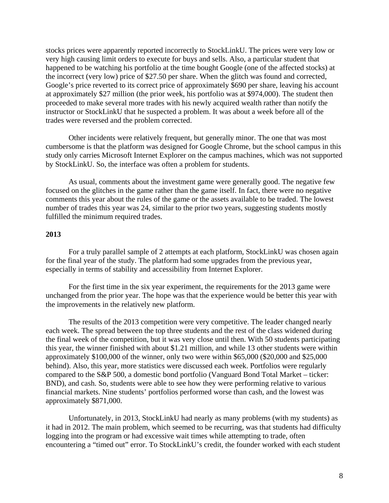stocks prices were apparently reported incorrectly to StockLinkU. The prices were very low or very high causing limit orders to execute for buys and sells. Also, a particular student that happened to be watching his portfolio at the time bought Google (one of the affected stocks) at the incorrect (very low) price of \$27.50 per share. When the glitch was found and corrected, Google's price reverted to its correct price of approximately \$690 per share, leaving his account at approximately \$27 million (the prior week, his portfolio was at \$974,000). The student then proceeded to make several more trades with his newly acquired wealth rather than notify the instructor or StockLinkU that he suspected a problem. It was about a week before all of the trades were reversed and the problem corrected.

Other incidents were relatively frequent, but generally minor. The one that was most cumbersome is that the platform was designed for Google Chrome, but the school campus in this study only carries Microsoft Internet Explorer on the campus machines, which was not supported by StockLinkU. So, the interface was often a problem for students.

As usual, comments about the investment game were generally good. The negative few focused on the glitches in the game rather than the game itself. In fact, there were no negative comments this year about the rules of the game or the assets available to be traded. The lowest number of trades this year was 24, similar to the prior two years, suggesting students mostly fulfilled the minimum required trades.

## **2013**

For a truly parallel sample of 2 attempts at each platform, StockLinkU was chosen again for the final year of the study. The platform had some upgrades from the previous year, especially in terms of stability and accessibility from Internet Explorer.

For the first time in the six year experiment, the requirements for the 2013 game were unchanged from the prior year. The hope was that the experience would be better this year with the improvements in the relatively new platform.

The results of the 2013 competition were very competitive. The leader changed nearly each week. The spread between the top three students and the rest of the class widened during the final week of the competition, but it was very close until then. With 50 students participating this year, the winner finished with about \$1.21 million, and while 13 other students were within approximately \$100,000 of the winner, only two were within \$65,000 (\$20,000 and \$25,000 behind). Also, this year, more statistics were discussed each week. Portfolios were regularly compared to the S&P 500, a domestic bond portfolio (Vanguard Bond Total Market – ticker: BND), and cash. So, students were able to see how they were performing relative to various financial markets. Nine students' portfolios performed worse than cash, and the lowest was approximately \$871,000.

Unfortunately, in 2013, StockLinkU had nearly as many problems (with my students) as it had in 2012. The main problem, which seemed to be recurring, was that students had difficulty logging into the program or had excessive wait times while attempting to trade, often encountering a "timed out" error. To StockLinkU's credit, the founder worked with each student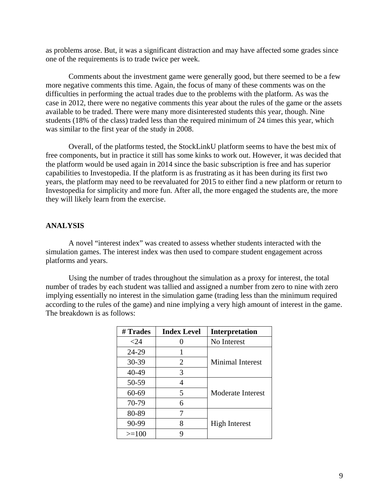as problems arose. But, it was a significant distraction and may have affected some grades since one of the requirements is to trade twice per week.

Comments about the investment game were generally good, but there seemed to be a few more negative comments this time. Again, the focus of many of these comments was on the difficulties in performing the actual trades due to the problems with the platform. As was the case in 2012, there were no negative comments this year about the rules of the game or the assets available to be traded. There were many more disinterested students this year, though. Nine students (18% of the class) traded less than the required minimum of 24 times this year, which was similar to the first year of the study in 2008.

Overall, of the platforms tested, the StockLinkU platform seems to have the best mix of free components, but in practice it still has some kinks to work out. However, it was decided that the platform would be used again in 2014 since the basic subscription is free and has superior capabilities to Investopedia. If the platform is as frustrating as it has been during its first two years, the platform may need to be reevaluated for 2015 to either find a new platform or return to Investopedia for simplicity and more fun. After all, the more engaged the students are, the more they will likely learn from the exercise.

## **ANALYSIS**

A novel "interest index" was created to assess whether students interacted with the simulation games. The interest index was then used to compare student engagement across platforms and years.

Using the number of trades throughout the simulation as a proxy for interest, the total number of trades by each student was tallied and assigned a number from zero to nine with zero implying essentially no interest in the simulation game (trading less than the minimum required according to the rules of the game) and nine implying a very high amount of interest in the game. The breakdown is as follows:

| # Trades  | <b>Index Level</b> | <b>Interpretation</b>   |
|-----------|--------------------|-------------------------|
| $<$ 24    |                    | No Interest             |
| 24-29     |                    |                         |
| 30-39     | 2                  | <b>Minimal Interest</b> |
| 40-49     | 3                  |                         |
| 50-59     | 4                  |                         |
| $60 - 69$ | 5                  | Moderate Interest       |
| 70-79     | 6                  |                         |
| 80-89     | 7                  |                         |
| 90-99     | 8                  | <b>High Interest</b>    |
| $>=100$   | Q                  |                         |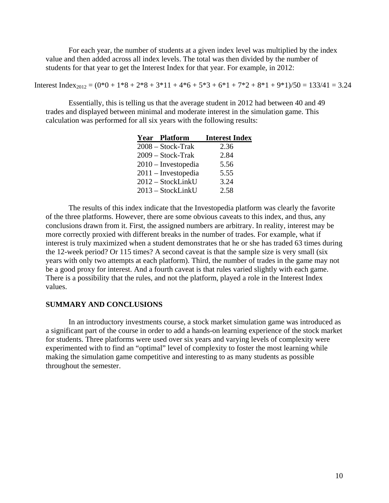For each year, the number of students at a given index level was multiplied by the index value and then added across all index levels. The total was then divided by the number of students for that year to get the Interest Index for that year. For example, in 2012:

Interest Index<sub>2012</sub> =  $(0*0 + 1*8 + 2*8 + 3*11 + 4*6 + 5*3 + 6*1 + 7*2 + 8*1 + 9*1)/50 = 133/41 = 3.24$ 

Essentially, this is telling us that the average student in 2012 had between 40 and 49 trades and displayed between minimal and moderate interest in the simulation game. This calculation was performed for all six years with the following results:

| <b>Year Platform</b>  | <b>Interest Index</b> |
|-----------------------|-----------------------|
| $2008 - Stock-Trak$   | 2.36                  |
| 2009 - Stock-Trak     | 2.84                  |
| $2010$ – Investopedia | 5.56                  |
| $2011$ – Investopedia | 5.55                  |
| 2012 – StockLinkU     | 3.24                  |
| 2013 - StockLinkU     | 2.58                  |

The results of this index indicate that the Investopedia platform was clearly the favorite of the three platforms. However, there are some obvious caveats to this index, and thus, any conclusions drawn from it. First, the assigned numbers are arbitrary. In reality, interest may be more correctly proxied with different breaks in the number of trades. For example, what if interest is truly maximized when a student demonstrates that he or she has traded 63 times during the 12-week period? Or 115 times? A second caveat is that the sample size is very small (six years with only two attempts at each platform). Third, the number of trades in the game may not be a good proxy for interest. And a fourth caveat is that rules varied slightly with each game. There is a possibility that the rules, and not the platform, played a role in the Interest Index values.

## **SUMMARY AND CONCLUSIONS**

In an introductory investments course, a stock market simulation game was introduced as a significant part of the course in order to add a hands-on learning experience of the stock market for students. Three platforms were used over six years and varying levels of complexity were experimented with to find an "optimal" level of complexity to foster the most learning while making the simulation game competitive and interesting to as many students as possible throughout the semester.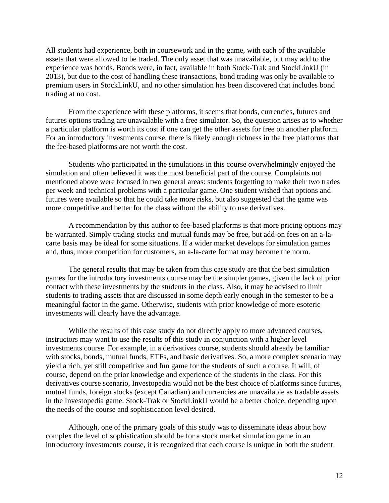All students had experience, both in coursework and in the game, with each of the available assets that were allowed to be traded. The only asset that was unavailable, but may add to the experience was bonds. Bonds were, in fact, available in both Stock-Trak and StockLinkU (in 2013), but due to the cost of handling these transactions, bond trading was only be available to premium users in StockLinkU, and no other simulation has been discovered that includes bond trading at no cost.

From the experience with these platforms, it seems that bonds, currencies, futures and futures options trading are unavailable with a free simulator. So, the question arises as to whether a particular platform is worth its cost if one can get the other assets for free on another platform. For an introductory investments course, there is likely enough richness in the free platforms that the fee-based platforms are not worth the cost.

Students who participated in the simulations in this course overwhelmingly enjoyed the simulation and often believed it was the most beneficial part of the course. Complaints not mentioned above were focused in two general areas: students forgetting to make their two trades per week and technical problems with a particular game. One student wished that options and futures were available so that he could take more risks, but also suggested that the game was more competitive and better for the class without the ability to use derivatives.

A recommendation by this author to fee-based platforms is that more pricing options may be warranted. Simply trading stocks and mutual funds may be free, but add-on fees on an a-lacarte basis may be ideal for some situations. If a wider market develops for simulation games and, thus, more competition for customers, an a-la-carte format may become the norm.

The general results that may be taken from this case study are that the best simulation games for the introductory investments course may be the simpler games, given the lack of prior contact with these investments by the students in the class. Also, it may be advised to limit students to trading assets that are discussed in some depth early enough in the semester to be a meaningful factor in the game. Otherwise, students with prior knowledge of more esoteric investments will clearly have the advantage.

While the results of this case study do not directly apply to more advanced courses, instructors may want to use the results of this study in conjunction with a higher level investments course. For example, in a derivatives course, students should already be familiar with stocks, bonds, mutual funds, ETFs, and basic derivatives. So, a more complex scenario may yield a rich, yet still competitive and fun game for the students of such a course. It will, of course, depend on the prior knowledge and experience of the students in the class. For this derivatives course scenario, Investopedia would not be the best choice of platforms since futures, mutual funds, foreign stocks (except Canadian) and currencies are unavailable as tradable assets in the Investopedia game. Stock-Trak or StockLinkU would be a better choice, depending upon the needs of the course and sophistication level desired.

Although, one of the primary goals of this study was to disseminate ideas about how complex the level of sophistication should be for a stock market simulation game in an introductory investments course, it is recognized that each course is unique in both the student